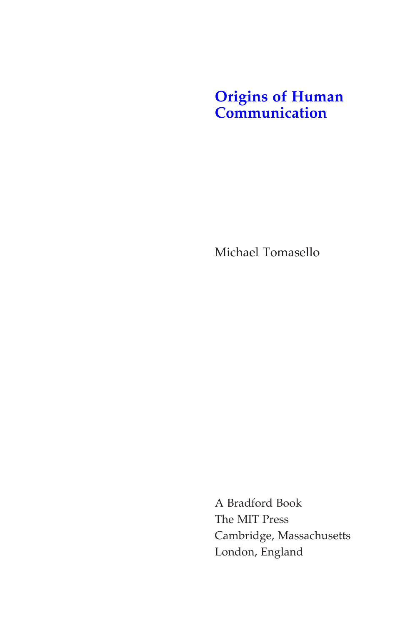## **[Origins of Human](http://mitpress.mit.edu/9780262201773)  Communication**

Michael Tomasello

A Bradford Book The MIT Press Cambridge, Massachusetts London, England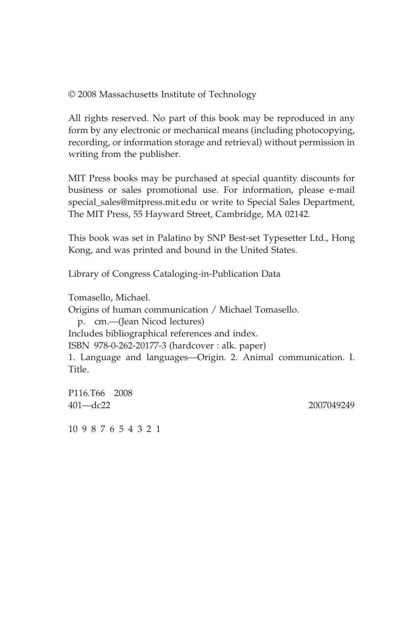© 2008 Massachusetts Institute of Technology

All rights reserved. No part of this book may be reproduced in any form by any electronic or mechanical means (including photocopying, recording, or information storage and retrieval) without permission in writing from the publisher.

MIT Press books may be purchased at special quantity discounts for business or sales promotional use. For information, please e-mail special\_sales@mitpress.mit.edu or write to Special Sales Department, The MIT Press, 55 Hayward Street, Cambridge, MA 02142.

This book was set in Palatino by SNP Best-set Typesetter Ltd., Hong Kong, and was printed and bound in the United States.

Library of Congress Cataloging-in-Publication Data

Tomasello, Michael. Origins of human communication / Michael Tomasello. p. cm.—(Jean Nicod lectures) Includes bibliographical references and index. ISBN 978-0-262-20177-3 (hardcover : alk. paper) 1. Language and languages—Origin. 2. Animal communication. I. Title.

P116.T66 2008 401—dc22 2007049249

10 9 8 7 6 5 4 3 2 1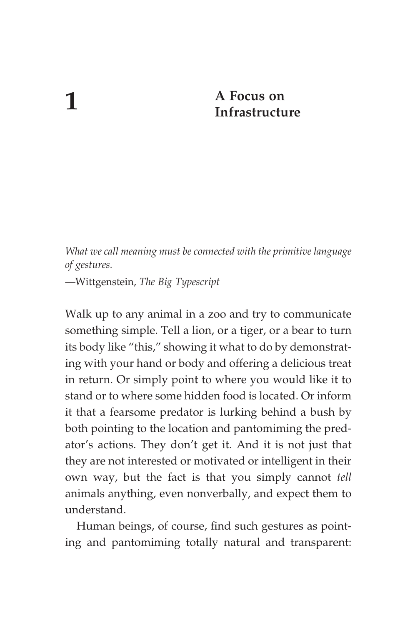## **1 A Focus on Infrastructure**

*What we call meaning must be connected with the primitive language of gestures.*

—Wittgenstein, *The Big Typescript*

Walk up to any animal in a zoo and try to communicate something simple. Tell a lion, or a tiger, or a bear to turn its body like "this," showing it what to do by demonstrating with your hand or body and offering a delicious treat in return. Or simply point to where you would like it to stand or to where some hidden food is located. Or inform it that a fearsome predator is lurking behind a bush by both pointing to the location and pantomiming the predator's actions. They don't get it. And it is not just that they are not interested or motivated or intelligent in their own way, but the fact is that you simply cannot *tell* animals anything, even nonverbally, and expect them to understand.

Human beings, of course, find such gestures as pointing and pantomiming totally natural and transparent: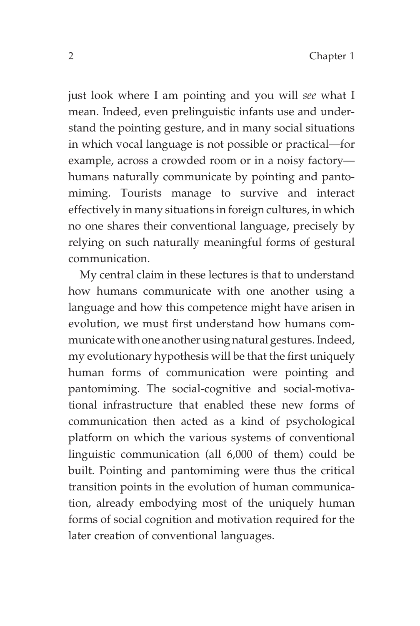just look where I am pointing and you will *see* what I mean. Indeed, even prelinguistic infants use and understand the pointing gesture, and in many social situations in which vocal language is not possible or practical—for example, across a crowded room or in a noisy factory humans naturally communicate by pointing and pantomiming. Tourists manage to survive and interact effectively in many situations in foreign cultures, in which no one shares their conventional language, precisely by relying on such naturally meaningful forms of gestural communication.

My central claim in these lectures is that to understand how humans communicate with one another using a language and how this competence might have arisen in evolution, we must first understand how humans communicate with one another using natural gestures. Indeed, my evolutionary hypothesis will be that the first uniquely human forms of communication were pointing and pantomiming. The social-cognitive and social-motivational infrastructure that enabled these new forms of communication then acted as a kind of psychological platform on which the various systems of conventional linguistic communication (all 6,000 of them) could be built. Pointing and pantomiming were thus the critical transition points in the evolution of human communication, already embodying most of the uniquely human forms of social cognition and motivation required for the later creation of conventional languages.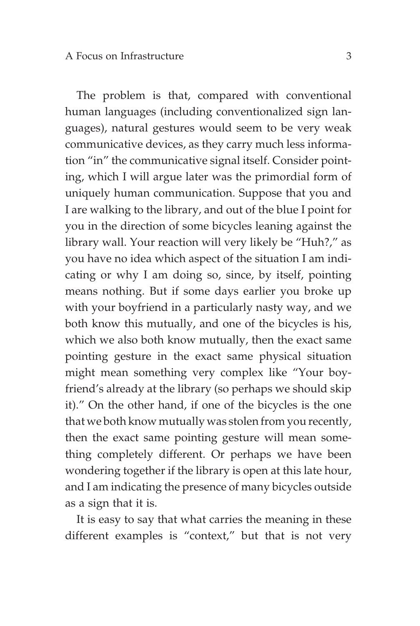The problem is that, compared with conventional human languages (including conventionalized sign languages), natural gestures would seem to be very weak communicative devices, as they carry much less information "in" the communicative signal itself. Consider pointing, which I will argue later was the primordial form of uniquely human communication. Suppose that you and I are walking to the library, and out of the blue I point for you in the direction of some bicycles leaning against the library wall. Your reaction will very likely be "Huh?," as you have no idea which aspect of the situation I am indicating or why I am doing so, since, by itself, pointing means nothing. But if some days earlier you broke up with your boyfriend in a particularly nasty way, and we both know this mutually, and one of the bicycles is his, which we also both know mutually, then the exact same pointing gesture in the exact same physical situation might mean something very complex like "Your boyfriend's already at the library (so perhaps we should skip it)." On the other hand, if one of the bicycles is the one that we both know mutually was stolen from you recently, then the exact same pointing gesture will mean something completely different. Or perhaps we have been wondering together if the library is open at this late hour, and I am indicating the presence of many bicycles outside as a sign that it is.

It is easy to say that what carries the meaning in these different examples is "context," but that is not very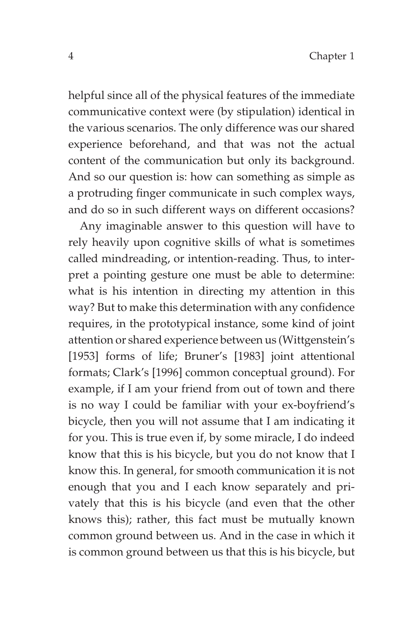helpful since all of the physical features of the immediate communicative context were (by stipulation) identical in the various scenarios. The only difference was our shared experience beforehand, and that was not the actual content of the communication but only its background. And so our question is: how can something as simple as a protruding finger communicate in such complex ways, and do so in such different ways on different occasions?

Any imaginable answer to this question will have to rely heavily upon cognitive skills of what is sometimes called mindreading, or intention-reading. Thus, to interpret a pointing gesture one must be able to determine: what is his intention in directing my attention in this way? But to make this determination with any confidence requires, in the prototypical instance, some kind of joint attention or shared experience between us (Wittgenstein's [1953] forms of life; Bruner's [1983] joint attentional formats; Clark's [1996] common conceptual ground). For example, if I am your friend from out of town and there is no way I could be familiar with your ex-boyfriend's bicycle, then you will not assume that I am indicating it for you. This is true even if, by some miracle, I do indeed know that this is his bicycle, but you do not know that I know this. In general, for smooth communication it is not enough that you and I each know separately and privately that this is his bicycle (and even that the other knows this); rather, this fact must be mutually known common ground between us. And in the case in which it is common ground between us that this is his bicycle, but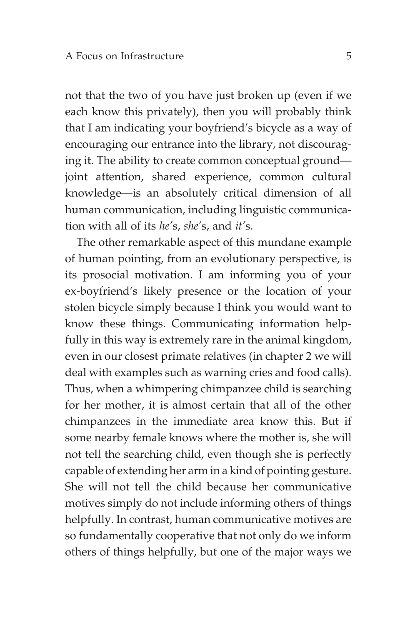not that the two of you have just broken up (even if we each know this privately), then you will probably think that I am indicating your boyfriend's bicycle as a way of encouraging our entrance into the library, not discouraging it. The ability to create common conceptual ground joint attention, shared experience, common cultural knowledge—is an absolutely critical dimension of all human communication, including linguistic communication with all of its *he'*s, *she'*s, and *it'*s.

The other remarkable aspect of this mundane example of human pointing, from an evolutionary perspective, is its prosocial motivation. I am informing you of your ex-boyfriend's likely presence or the location of your stolen bicycle simply because I think you would want to know these things. Communicating information helpfully in this way is extremely rare in the animal kingdom, even in our closest primate relatives (in chapter 2 we will deal with examples such as warning cries and food calls). Thus, when a whimpering chimpanzee child is searching for her mother, it is almost certain that all of the other chimpanzees in the immediate area know this. But if some nearby female knows where the mother is, she will not tell the searching child, even though she is perfectly capable of extending her arm in a kind of pointing gesture. She will not tell the child because her communicative motives simply do not include informing others of things helpfully. In contrast, human communicative motives are so fundamentally cooperative that not only do we inform others of things helpfully, but one of the major ways we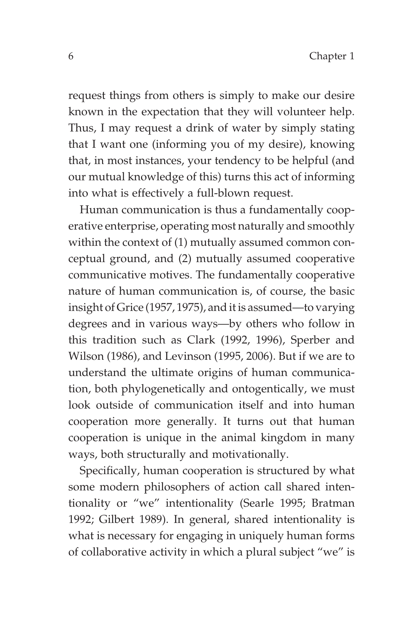request things from others is simply to make our desire known in the expectation that they will volunteer help. Thus, I may request a drink of water by simply stating that I want one (informing you of my desire), knowing that, in most instances, your tendency to be helpful (and our mutual knowledge of this) turns this act of informing into what is effectively a full-blown request.

Human communication is thus a fundamentally cooperative enterprise, operating most naturally and smoothly within the context of (1) mutually assumed common conceptual ground, and (2) mutually assumed cooperative communicative motives. The fundamentally cooperative nature of human communication is, of course, the basic insight of Grice (1957, 1975), and it is assumed—to varying degrees and in various ways—by others who follow in this tradition such as Clark (1992, 1996), Sperber and Wilson (1986), and Levinson (1995, 2006). But if we are to understand the ultimate origins of human communication, both phylogenetically and ontogentically, we must look outside of communication itself and into human cooperation more generally. It turns out that human cooperation is unique in the animal kingdom in many ways, both structurally and motivationally.

Specifically, human cooperation is structured by what some modern philosophers of action call shared intentionality or "we" intentionality (Searle 1995; Bratman 1992; Gilbert 1989). In general, shared intentionality is what is necessary for engaging in uniquely human forms of collaborative activity in which a plural subject "we" is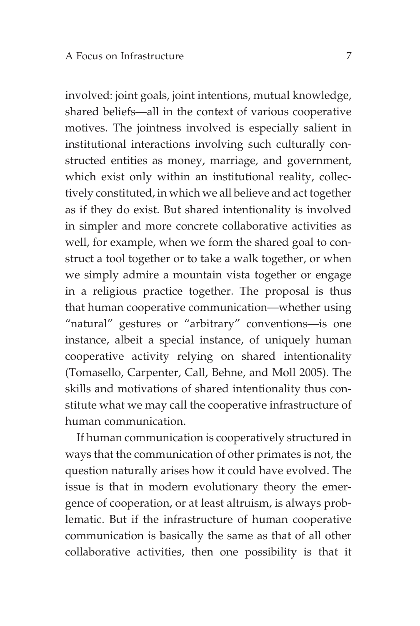involved: joint goals, joint intentions, mutual knowledge, shared beliefs—all in the context of various cooperative motives. The jointness involved is especially salient in institutional interactions involving such culturally constructed entities as money, marriage, and government, which exist only within an institutional reality, collectively constituted, in which we all believe and act together as if they do exist. But shared intentionality is involved in simpler and more concrete collaborative activities as well, for example, when we form the shared goal to construct a tool together or to take a walk together, or when we simply admire a mountain vista together or engage in a religious practice together. The proposal is thus that human cooperative communication—whether using "natural" gestures or "arbitrary" conventions—is one instance, albeit a special instance, of uniquely human cooperative activity relying on shared intentionality (Tomasello, Carpenter, Call, Behne, and Moll 2005). The skills and motivations of shared intentionality thus constitute what we may call the cooperative infrastructure of human communication.

If human communication is cooperatively structured in ways that the communication of other primates is not, the question naturally arises how it could have evolved. The issue is that in modern evolutionary theory the emergence of cooperation, or at least altruism, is always problematic. But if the infrastructure of human cooperative communication is basically the same as that of all other collaborative activities, then one possibility is that it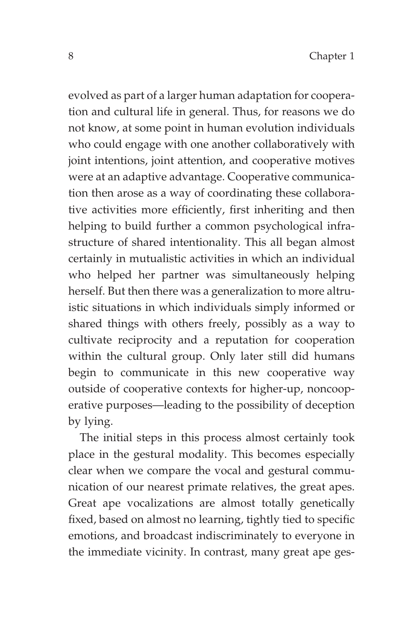evolved as part of a larger human adaptation for cooperation and cultural life in general. Thus, for reasons we do not know, at some point in human evolution individuals who could engage with one another collaboratively with joint intentions, joint attention, and cooperative motives were at an adaptive advantage. Cooperative communication then arose as a way of coordinating these collaborative activities more efficiently, first inheriting and then helping to build further a common psychological infrastructure of shared intentionality. This all began almost certainly in mutualistic activities in which an individual who helped her partner was simultaneously helping herself. But then there was a generalization to more altruistic situations in which individuals simply informed or shared things with others freely, possibly as a way to cultivate reciprocity and a reputation for cooperation within the cultural group. Only later still did humans begin to communicate in this new cooperative way outside of cooperative contexts for higher-up, noncooperative purposes—leading to the possibility of deception by lying.

The initial steps in this process almost certainly took place in the gestural modality. This becomes especially clear when we compare the vocal and gestural communication of our nearest primate relatives, the great apes. Great ape vocalizations are almost totally genetically fixed, based on almost no learning, tightly tied to specific emotions, and broadcast indiscriminately to everyone in the immediate vicinity. In contrast, many great ape ges-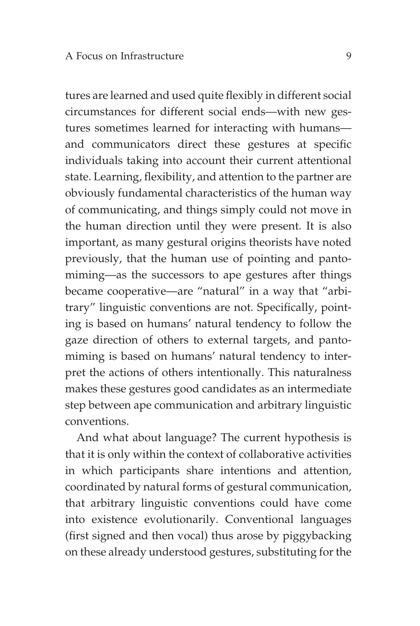tures are learned and used quite flexibly in different social circumstances for different social ends—with new gestures sometimes learned for interacting with humans and communicators direct these gestures at specific individuals taking into account their current attentional state. Learning, flexibility, and attention to the partner are obviously fundamental characteristics of the human way of communicating, and things simply could not move in the human direction until they were present. It is also important, as many gestural origins theorists have noted previously, that the human use of pointing and pantomiming—as the successors to ape gestures after things became cooperative—are "natural" in a way that "arbitrary" linguistic conventions are not. Specifically, pointing is based on humans' natural tendency to follow the gaze direction of others to external targets, and pantomiming is based on humans' natural tendency to interpret the actions of others intentionally. This naturalness makes these gestures good candidates as an intermediate step between ape communication and arbitrary linguistic conventions.

And what about language? The current hypothesis is that it is only within the context of collaborative activities in which participants share intentions and attention, coordinated by natural forms of gestural communication, that arbitrary linguistic conventions could have come into existence evolutionarily. Conventional languages (first signed and then vocal) thus arose by piggybacking on these already understood gestures, substituting for the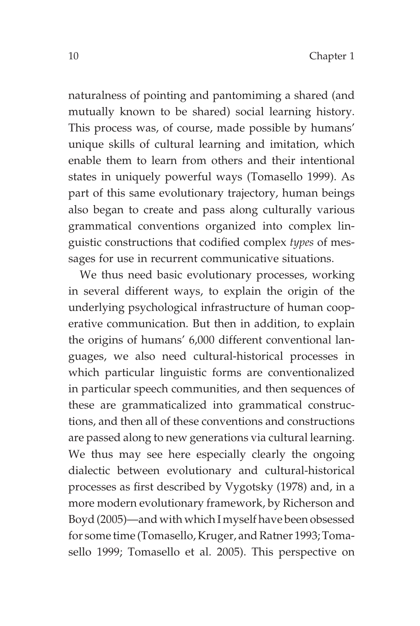naturalness of pointing and pantomiming a shared (and mutually known to be shared) social learning history. This process was, of course, made possible by humans' unique skills of cultural learning and imitation, which enable them to learn from others and their intentional states in uniquely powerful ways (Tomasello 1999). As part of this same evolutionary trajectory, human beings also began to create and pass along culturally various grammatical conventions organized into complex linguistic constructions that codified complex *types* of messages for use in recurrent communicative situations.

We thus need basic evolutionary processes, working in several different ways, to explain the origin of the underlying psychological infrastructure of human cooperative communication. But then in addition, to explain the origins of humans' 6,000 different conventional languages, we also need cultural-historical processes in which particular linguistic forms are conventionalized in particular speech communities, and then sequences of these are grammaticalized into grammatical constructions, and then all of these conventions and constructions are passed along to new generations via cultural learning. We thus may see here especially clearly the ongoing dialectic between evolutionary and cultural-historical processes as first described by Vygotsky (1978) and, in a more modern evolutionary framework, by Richerson and Boyd (2005)—and with which I myself have been obsessed for some time (Tomasello, Kruger, and Ratner 1993; Tomasello 1999; Tomasello et al. 2005). This perspective on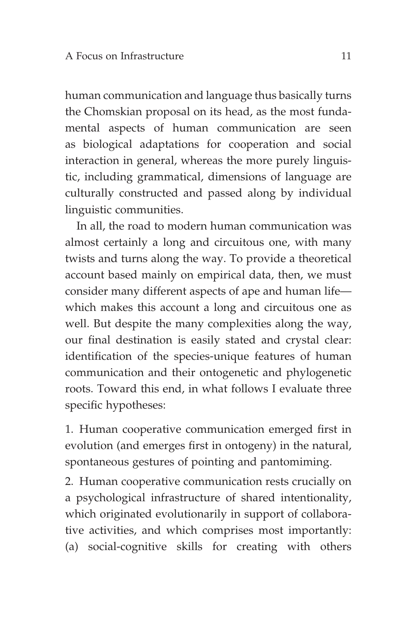human communication and language thus basically turns the Chomskian proposal on its head, as the most fundamental aspects of human communication are seen as biological adaptations for cooperation and social interaction in general, whereas the more purely linguistic, including grammatical, dimensions of language are culturally constructed and passed along by individual linguistic communities.

In all, the road to modern human communication was almost certainly a long and circuitous one, with many twists and turns along the way. To provide a theoretical account based mainly on empirical data, then, we must consider many different aspects of ape and human life which makes this account a long and circuitous one as well. But despite the many complexities along the way, our final destination is easily stated and crystal clear: identification of the species-unique features of human communication and their ontogenetic and phylogenetic roots. Toward this end, in what follows I evaluate three specific hypotheses:

1. Human cooperative communication emerged first in evolution (and emerges first in ontogeny) in the natural, spontaneous gestures of pointing and pantomiming.

2. Human cooperative communication rests crucially on a psychological infrastructure of shared intentionality, which originated evolutionarily in support of collaborative activities, and which comprises most importantly: (a) social-cognitive skills for creating with others